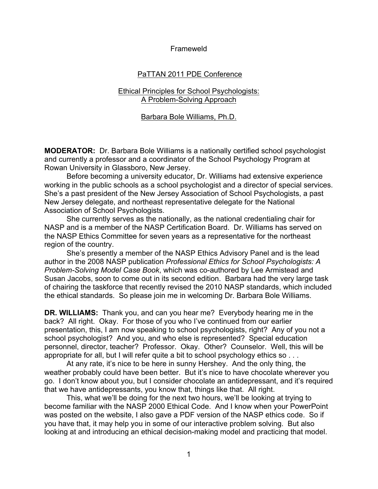### Frameweld

# PaTTAN 2011 PDE Conference

## Ethical Principles for School Psychologists: A Problem-Solving Approach

### Barbara Bole Williams, Ph.D.

**MODERATOR:** Dr. Barbara Bole Williams is a nationally certified school psychologist and currently a professor and a coordinator of the School Psychology Program at Rowan University in Glassboro, New Jersey.

Before becoming a university educator, Dr. Williams had extensive experience working in the public schools as a school psychologist and a director of special services. She's a past president of the New Jersey Association of School Psychologists, a past New Jersey delegate, and northeast representative delegate for the National Association of School Psychologists.

She currently serves as the nationally, as the national credentialing chair for NASP and is a member of the NASP Certification Board. Dr. Williams has served on the NASP Ethics Committee for seven years as a representative for the northeast region of the country.

She's presently a member of the NASP Ethics Advisory Panel and is the lead author in the 2008 NASP publication *Professional Ethics for School Psychologists: A Problem-Solving Model Case Book*, which was co-authored by Lee Armistead and Susan Jacobs, soon to come out in its second edition. Barbara had the very large task of chairing the taskforce that recently revised the 2010 NASP standards, which included the ethical standards. So please join me in welcoming Dr. Barbara Bole Williams.

**DR. WILLIAMS:** Thank you, and can you hear me? Everybody hearing me in the back? All right. Okay. For those of you who I've continued from our earlier presentation, this, I am now speaking to school psychologists, right? Any of you not a school psychologist? And you, and who else is represented? Special education personnel, director, teacher? Professor. Okay. Other? Counselor. Well, this will be appropriate for all, but I will refer quite a bit to school psychology ethics so . . .

At any rate, it's nice to be here in sunny Hershey. And the only thing, the weather probably could have been better. But it's nice to have chocolate wherever you go. I don't know about you, but I consider chocolate an antidepressant, and it's required that we have antidepressants, you know that, things like that. All right.

This, what we'll be doing for the next two hours, we'll be looking at trying to become familiar with the NASP 2000 Ethical Code. And I know when your PowerPoint was posted on the website, I also gave a PDF version of the NASP ethics code. So if you have that, it may help you in some of our interactive problem solving. But also looking at and introducing an ethical decision-making model and practicing that model.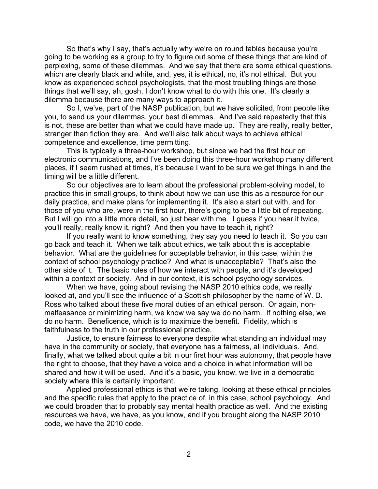So that's why I say, that's actually why we're on round tables because you're going to be working as a group to try to figure out some of these things that are kind of perplexing, some of these dilemmas. And we say that there are some ethical questions, which are clearly black and white, and, yes, it is ethical, no, it's not ethical. But you know as experienced school psychologists, that the most troubling things are those things that we'll say, ah, gosh, I don't know what to do with this one. It's clearly a dilemma because there are many ways to approach it.

So I, we've, part of the NASP publication, but we have solicited, from people like you, to send us your dilemmas, your best dilemmas. And I've said repeatedly that this is not, these are better than what we could have made up. They are really, really better, stranger than fiction they are. And we'll also talk about ways to achieve ethical competence and excellence, time permitting.

This is typically a three-hour workshop, but since we had the first hour on electronic communications, and I've been doing this three-hour workshop many different places, if I seem rushed at times, it's because I want to be sure we get things in and the timing will be a little different.

So our objectives are to learn about the professional problem-solving model, to practice this in small groups, to think about how we can use this as a resource for our daily practice, and make plans for implementing it. It's also a start out with, and for those of you who are, were in the first hour, there's going to be a little bit of repeating. But I will go into a little more detail, so just bear with me. I guess if you hear it twice, you'll really, really know it, right? And then you have to teach it, right?

If you really want to know something, they say you need to teach it. So you can go back and teach it. When we talk about ethics, we talk about this is acceptable behavior. What are the guidelines for acceptable behavior, in this case, within the context of school psychology practice? And what is unacceptable? That's also the other side of it. The basic rules of how we interact with people, and it's developed within a context or society. And in our context, it is school psychology services.

When we have, going about revising the NASP 2010 ethics code, we really looked at, and you'll see the influence of a Scottish philosopher by the name of W. D. Ross who talked about these five moral duties of an ethical person. Or again, nonmalfeasance or minimizing harm, we know we say we do no harm. If nothing else, we do no harm. Beneficence, which is to maximize the benefit. Fidelity, which is faithfulness to the truth in our professional practice.

Justice, to ensure fairness to everyone despite what standing an individual may have in the community or society, that everyone has a fairness, all individuals. And, finally, what we talked about quite a bit in our first hour was autonomy, that people have the right to choose, that they have a voice and a choice in what information will be shared and how it will be used. And it's a basic, you know, we live in a democratic society where this is certainly important.

Applied professional ethics is that we're taking, looking at these ethical principles and the specific rules that apply to the practice of, in this case, school psychology. And we could broaden that to probably say mental health practice as well. And the existing resources we have, we have, as you know, and if you brought along the NASP 2010 code, we have the 2010 code.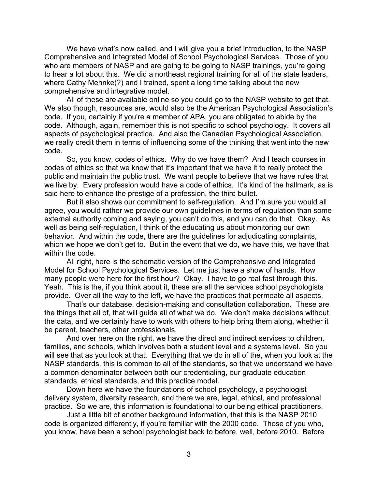We have what's now called, and I will give you a brief introduction, to the NASP Comprehensive and Integrated Model of School Psychological Services. Those of you who are members of NASP and are going to be going to NASP trainings, you're going to hear a lot about this. We did a northeast regional training for all of the state leaders, where Cathy Mehnke(?) and I trained, spent a long time talking about the new comprehensive and integrative model.

All of these are available online so you could go to the NASP website to get that. We also though, resources are, would also be the American Psychological Association's code. If you, certainly if you're a member of APA, you are obligated to abide by the code. Although, again, remember this is not specific to school psychology. It covers all aspects of psychological practice. And also the Canadian Psychological Association, we really credit them in terms of influencing some of the thinking that went into the new code.

So, you know, codes of ethics. Why do we have them? And I teach courses in codes of ethics so that we know that it's important that we have it to really protect the public and maintain the public trust. We want people to believe that we have rules that we live by. Every profession would have a code of ethics. It's kind of the hallmark, as is said here to enhance the prestige of a profession, the third bullet.

But it also shows our commitment to self-regulation. And I'm sure you would all agree, you would rather we provide our own guidelines in terms of regulation than some external authority coming and saying, you can't do this, and you can do that. Okay. As well as being self-regulation, I think of the educating us about monitoring our own behavior. And within the code, there are the guidelines for adjudicating complaints, which we hope we don't get to. But in the event that we do, we have this, we have that within the code.

All right, here is the schematic version of the Comprehensive and Integrated Model for School Psychological Services. Let me just have a show of hands. How many people were here for the first hour? Okay. I have to go real fast through this. Yeah. This is the, if you think about it, these are all the services school psychologists provide. Over all the way to the left, we have the practices that permeate all aspects.

That's our database, decision-making and consultation collaboration. These are the things that all of, that will guide all of what we do. We don't make decisions without the data, and we certainly have to work with others to help bring them along, whether it be parent, teachers, other professionals.

And over here on the right, we have the direct and indirect services to children, families, and schools, which involves both a student level and a systems level. So you will see that as you look at that. Everything that we do in all of the, when you look at the NASP standards, this is common to all of the standards, so that we understand we have a common denominator between both our credentialing, our graduate education standards, ethical standards, and this practice model.

Down here we have the foundations of school psychology, a psychologist delivery system, diversity research, and there we are, legal, ethical, and professional practice. So we are, this information is foundational to our being ethical practitioners.

Just a little bit of another background information, that this is the NASP 2010 code is organized differently, if you're familiar with the 2000 code. Those of you who, you know, have been a school psychologist back to before, well, before 2010. Before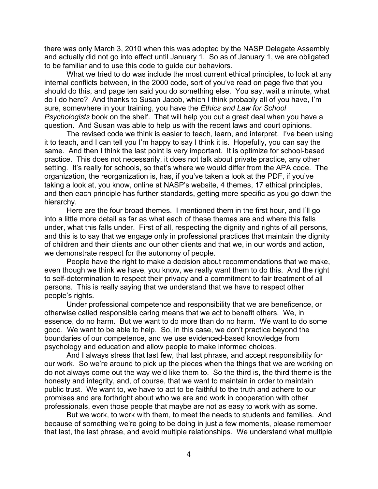there was only March 3, 2010 when this was adopted by the NASP Delegate Assembly and actually did not go into effect until January 1. So as of January 1, we are obligated to be familiar and to use this code to guide our behaviors.

What we tried to do was include the most current ethical principles, to look at any internal conflicts between, in the 2000 code, sort of you've read on page five that you should do this, and page ten said you do something else. You say, wait a minute, what do I do here? And thanks to Susan Jacob, which I think probably all of you have, I'm sure, somewhere in your training, you have the *Ethics and Law for School Psychologists* book on the shelf. That will help you out a great deal when you have a question. And Susan was able to help us with the recent laws and court opinions.

The revised code we think is easier to teach, learn, and interpret. I've been using it to teach, and I can tell you I'm happy to say I think it is. Hopefully, you can say the same. And then I think the last point is very important. It is optimize for school-based practice. This does not necessarily, it does not talk about private practice, any other setting. It's really for schools, so that's where we would differ from the APA code. The organization, the reorganization is, has, if you've taken a look at the PDF, if you've taking a look at, you know, online at NASP's website, 4 themes, 17 ethical principles, and then each principle has further standards, getting more specific as you go down the hierarchy.

Here are the four broad themes. I mentioned them in the first hour, and I'll go into a little more detail as far as what each of these themes are and where this falls under, what this falls under. First of all, respecting the dignity and rights of all persons, and this is to say that we engage only in professional practices that maintain the dignity of children and their clients and our other clients and that we, in our words and action, we demonstrate respect for the autonomy of people.

People have the right to make a decision about recommendations that we make, even though we think we have, you know, we really want them to do this. And the right to self-determination to respect their privacy and a commitment to fair treatment of all persons. This is really saying that we understand that we have to respect other people's rights.

Under professional competence and responsibility that we are beneficence, or otherwise called responsible caring means that we act to benefit others. We, in essence, do no harm. But we want to do more than do no harm. We want to do some good. We want to be able to help. So, in this case, we don't practice beyond the boundaries of our competence, and we use evidenced-based knowledge from psychology and education and allow people to make informed choices.

And I always stress that last few, that last phrase, and accept responsibility for our work. So we're around to pick up the pieces when the things that we are working on do not always come out the way we'd like them to. So the third is, the third theme is the honesty and integrity, and, of course, that we want to maintain in order to maintain public trust. We want to, we have to act to be faithful to the truth and adhere to our promises and are forthright about who we are and work in cooperation with other professionals, even those people that maybe are not as easy to work with as some.

But we work, to work with them, to meet the needs to students and families. And because of something we're going to be doing in just a few moments, please remember that last, the last phrase, and avoid multiple relationships. We understand what multiple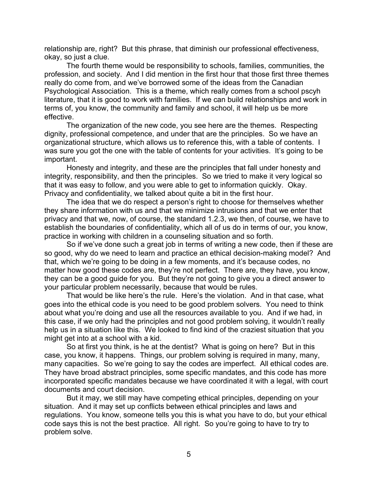relationship are, right? But this phrase, that diminish our professional effectiveness, okay, so just a clue.

The fourth theme would be responsibility to schools, families, communities, the profession, and society. And I did mention in the first hour that those first three themes really do come from, and we've borrowed some of the ideas from the Canadian Psychological Association. This is a theme, which really comes from a school pscyh literature, that it is good to work with families. If we can build relationships and work in terms of, you know, the community and family and school, it will help us be more effective.

The organization of the new code, you see here are the themes. Respecting dignity, professional competence, and under that are the principles. So we have an organizational structure, which allows us to reference this, with a table of contents. I was sure you got the one with the table of contents for your activities. It's going to be important.

Honesty and integrity, and these are the principles that fall under honesty and integrity, responsibility, and then the principles. So we tried to make it very logical so that it was easy to follow, and you were able to get to information quickly. Okay. Privacy and confidentiality, we talked about quite a bit in the first hour.

The idea that we do respect a person's right to choose for themselves whether they share information with us and that we minimize intrusions and that we enter that privacy and that we, now, of course, the standard 1.2.3, we then, of course, we have to establish the boundaries of confidentiality, which all of us do in terms of our, you know, practice in working with children in a counseling situation and so forth.

So if we've done such a great job in terms of writing a new code, then if these are so good, why do we need to learn and practice an ethical decision-making model? And that, which we're going to be doing in a few moments, and it's because codes, no matter how good these codes are, they're not perfect. There are, they have, you know, they can be a good guide for you. But they're not going to give you a direct answer to your particular problem necessarily, because that would be rules.

That would be like here's the rule. Here's the violation. And in that case, what goes into the ethical code is you need to be good problem solvers. You need to think about what you're doing and use all the resources available to you. And if we had, in this case, if we only had the principles and not good problem solving, it wouldn't really help us in a situation like this. We looked to find kind of the craziest situation that you might get into at a school with a kid.

So at first you think, is he at the dentist? What is going on here? But in this case, you know, it happens. Things, our problem solving is required in many, many, many capacities. So we're going to say the codes are imperfect. All ethical codes are. They have broad abstract principles, some specific mandates, and this code has more incorporated specific mandates because we have coordinated it with a legal, with court documents and court decision.

But it may, we still may have competing ethical principles, depending on your situation. And it may set up conflicts between ethical principles and laws and regulations. You know, someone tells you this is what you have to do, but your ethical code says this is not the best practice. All right. So you're going to have to try to problem solve.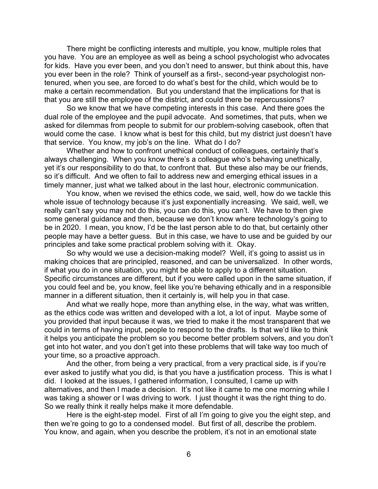There might be conflicting interests and multiple, you know, multiple roles that you have. You are an employee as well as being a school psychologist who advocates for kids. Have you ever been, and you don't need to answer, but think about this, have you ever been in the role? Think of yourself as a first-, second-year psychologist nontenured, when you see, are forced to do what's best for the child, which would be to make a certain recommendation. But you understand that the implications for that is that you are still the employee of the district, and could there be repercussions?

So we know that we have competing interests in this case. And there goes the dual role of the employee and the pupil advocate. And sometimes, that puts, when we asked for dilemmas from people to submit for our problem-solving casebook, often that would come the case. I know what is best for this child, but my district just doesn't have that service. You know, my job's on the line. What do I do?

Whether and how to confront unethical conduct of colleagues, certainly that's always challenging. When you know there's a colleague who's behaving unethically, yet it's our responsibility to do that, to confront that. But these also may be our friends, so it's difficult. And we often to fail to address new and emerging ethical issues in a timely manner, just what we talked about in the last hour, electronic communication.

You know, when we revised the ethics code, we said, well, how do we tackle this whole issue of technology because it's just exponentially increasing. We said, well, we really can't say you may not do this, you can do this, you can't. We have to then give some general guidance and then, because we don't know where technology's going to be in 2020. I mean, you know, I'd be the last person able to do that, but certainly other people may have a better guess. But in this case, we have to use and be guided by our principles and take some practical problem solving with it. Okay.

So why would we use a decision-making model? Well, it's going to assist us in making choices that are principled, reasoned, and can be universalized. In other words, if what you do in one situation, you might be able to apply to a different situation. Specific circumstances are different, but if you were called upon in the same situation, if you could feel and be, you know, feel like you're behaving ethically and in a responsible manner in a different situation, then it certainly is, will help you in that case.

And what we really hope, more than anything else, in the way, what was written, as the ethics code was written and developed with a lot, a lot of input. Maybe some of you provided that input because it was, we tried to make it the most transparent that we could in terms of having input, people to respond to the drafts. Is that we'd like to think it helps you anticipate the problem so you become better problem solvers, and you don't get into hot water, and you don't get into these problems that will take way too much of your time, so a proactive approach.

And the other, from being a very practical, from a very practical side, is if you're ever asked to justify what you did, is that you have a justification process. This is what I did. I looked at the issues, I gathered information, I consulted, I came up with alternatives, and then I made a decision. It's not like it came to me one morning while I was taking a shower or I was driving to work. I just thought it was the right thing to do. So we really think it really helps make it more defendable.

Here is the eight-step model. First of all I'm going to give you the eight step, and then we're going to go to a condensed model. But first of all, describe the problem. You know, and again, when you describe the problem, it's not in an emotional state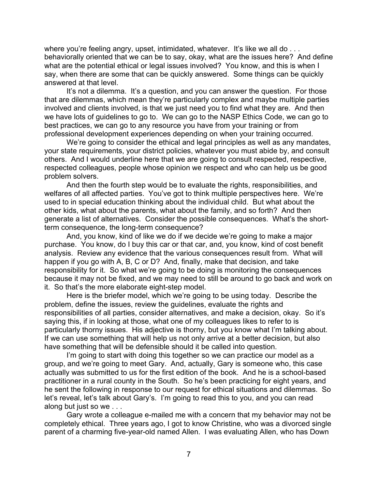where you're feeling angry, upset, intimidated, whatever. It's like we all do ... behaviorally oriented that we can be to say, okay, what are the issues here? And define what are the potential ethical or legal issues involved? You know, and this is when I say, when there are some that can be quickly answered. Some things can be quickly answered at that level.

It's not a dilemma. It's a question, and you can answer the question. For those that are dilemmas, which mean they're particularly complex and maybe multiple parties involved and clients involved, is that we just need you to find what they are. And then we have lots of guidelines to go to. We can go to the NASP Ethics Code, we can go to best practices, we can go to any resource you have from your training or from professional development experiences depending on when your training occurred.

We're going to consider the ethical and legal principles as well as any mandates, your state requirements, your district policies, whatever you must abide by, and consult others. And I would underline here that we are going to consult respected, respective, respected colleagues, people whose opinion we respect and who can help us be good problem solvers.

And then the fourth step would be to evaluate the rights, responsibilities, and welfares of all affected parties. You've got to think multiple perspectives here. We're used to in special education thinking about the individual child. But what about the other kids, what about the parents, what about the family, and so forth? And then generate a list of alternatives. Consider the possible consequences. What's the shortterm consequence, the long-term consequence?

And, you know, kind of like we do if we decide we're going to make a major purchase. You know, do I buy this car or that car, and, you know, kind of cost benefit analysis. Review any evidence that the various consequences result from. What will happen if you go with A, B, C or D? And, finally, make that decision, and take responsibility for it. So what we're going to be doing is monitoring the consequences because it may not be fixed, and we may need to still be around to go back and work on it. So that's the more elaborate eight-step model.

Here is the briefer model, which we're going to be using today. Describe the problem, define the issues, review the guidelines, evaluate the rights and responsibilities of all parties, consider alternatives, and make a decision, okay. So it's saying this, if in looking at those, what one of my colleagues likes to refer to is particularly thorny issues. His adjective is thorny, but you know what I'm talking about. If we can use something that will help us not only arrive at a better decision, but also have something that will be defensible should it be called into question.

I'm going to start with doing this together so we can practice our model as a group, and we're going to meet Gary. And, actually, Gary is someone who, this case actually was submitted to us for the first edition of the book. And he is a school-based practitioner in a rural county in the South. So he's been practicing for eight years, and he sent the following in response to our request for ethical situations and dilemmas. So let's reveal, let's talk about Gary's. I'm going to read this to you, and you can read along but just so we . . .

Gary wrote a colleague e-mailed me with a concern that my behavior may not be completely ethical. Three years ago, I got to know Christine, who was a divorced single parent of a charming five-year-old named Allen. I was evaluating Allen, who has Down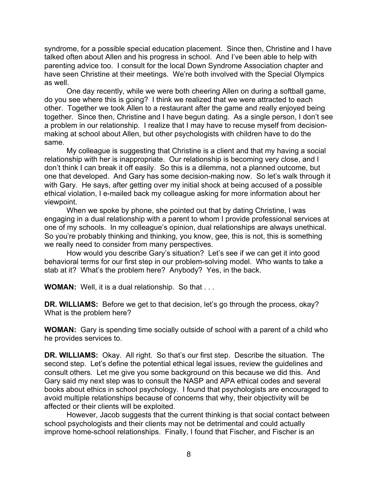syndrome, for a possible special education placement. Since then, Christine and I have talked often about Allen and his progress in school. And I've been able to help with parenting advice too. I consult for the local Down Syndrome Association chapter and have seen Christine at their meetings. We're both involved with the Special Olympics as well.

One day recently, while we were both cheering Allen on during a softball game, do you see where this is going? I think we realized that we were attracted to each other. Together we took Allen to a restaurant after the game and really enjoyed being together. Since then, Christine and I have begun dating. As a single person, I don't see a problem in our relationship. I realize that I may have to recuse myself from decisionmaking at school about Allen, but other psychologists with children have to do the same.

My colleague is suggesting that Christine is a client and that my having a social relationship with her is inappropriate. Our relationship is becoming very close, and I don't think I can break it off easily. So this is a dilemma, not a planned outcome, but one that developed. And Gary has some decision-making now. So let's walk through it with Gary. He says, after getting over my initial shock at being accused of a possible ethical violation, I e-mailed back my colleague asking for more information about her viewpoint.

When we spoke by phone, she pointed out that by dating Christine, I was engaging in a dual relationship with a parent to whom I provide professional services at one of my schools. In my colleague's opinion, dual relationships are always unethical. So you're probably thinking and thinking, you know, gee, this is not, this is something we really need to consider from many perspectives.

How would you describe Gary's situation? Let's see if we can get it into good behavioral terms for our first step in our problem-solving model. Who wants to take a stab at it? What's the problem here? Anybody? Yes, in the back.

**WOMAN:** Well, it is a dual relationship. So that . . .

**DR. WILLIAMS:** Before we get to that decision, let's go through the process, okay? What is the problem here?

**WOMAN:** Gary is spending time socially outside of school with a parent of a child who he provides services to.

**DR. WILLIAMS:** Okay. All right. So that's our first step. Describe the situation. The second step. Let's define the potential ethical legal issues, review the guidelines and consult others. Let me give you some background on this because we did this. And Gary said my next step was to consult the NASP and APA ethical codes and several books about ethics in school psychology. I found that psychologists are encouraged to avoid multiple relationships because of concerns that why, their objectivity will be affected or their clients will be exploited.

However, Jacob suggests that the current thinking is that social contact between school psychologists and their clients may not be detrimental and could actually improve home-school relationships. Finally, I found that Fischer, and Fischer is an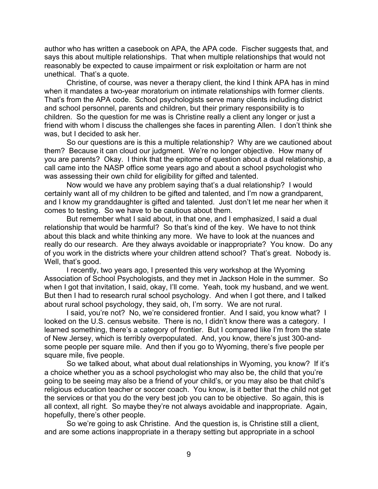author who has written a casebook on APA, the APA code. Fischer suggests that, and says this about multiple relationships. That when multiple relationships that would not reasonably be expected to cause impairment or risk exploitation or harm are not unethical. That's a quote.

Christine, of course, was never a therapy client, the kind I think APA has in mind when it mandates a two-year moratorium on intimate relationships with former clients. That's from the APA code. School psychologists serve many clients including district and school personnel, parents and children, but their primary responsibility is to children. So the question for me was is Christine really a client any longer or just a friend with whom I discuss the challenges she faces in parenting Allen. I don't think she was, but I decided to ask her.

So our questions are is this a multiple relationship? Why are we cautioned about them? Because it can cloud our judgment. We're no longer objective. How many of you are parents? Okay. I think that the epitome of question about a dual relationship, a call came into the NASP office some years ago and about a school psychologist who was assessing their own child for eligibility for gifted and talented.

Now would we have any problem saying that's a dual relationship? I would certainly want all of my children to be gifted and talented, and I'm now a grandparent, and I know my granddaughter is gifted and talented. Just don't let me near her when it comes to testing. So we have to be cautious about them.

But remember what I said about, in that one, and I emphasized, I said a dual relationship that would be harmful? So that's kind of the key. We have to not think about this black and white thinking any more. We have to look at the nuances and really do our research. Are they always avoidable or inappropriate? You know. Do any of you work in the districts where your children attend school? That's great. Nobody is. Well, that's good.

I recently, two years ago, I presented this very workshop at the Wyoming Association of School Psychologists, and they met in Jackson Hole in the summer. So when I got that invitation, I said, okay, I'll come. Yeah, took my husband, and we went. But then I had to research rural school psychology. And when I got there, and I talked about rural school psychology, they said, oh, I'm sorry. We are not rural.

I said, you're not? No, we're considered frontier. And I said, you know what? I looked on the U.S. census website. There is no, I didn't know there was a category. I learned something, there's a category of frontier. But I compared like I'm from the state of New Jersey, which is terribly overpopulated. And, you know, there's just 300-andsome people per square mile. And then if you go to Wyoming, there's five people per square mile, five people.

So we talked about, what about dual relationships in Wyoming, you know? If it's a choice whether you as a school psychologist who may also be, the child that you're going to be seeing may also be a friend of your child's, or you may also be that child's religious education teacher or soccer coach. You know, is it better that the child not get the services or that you do the very best job you can to be objective. So again, this is all context, all right. So maybe they're not always avoidable and inappropriate. Again, hopefully, there's other people.

So we're going to ask Christine. And the question is, is Christine still a client, and are some actions inappropriate in a therapy setting but appropriate in a school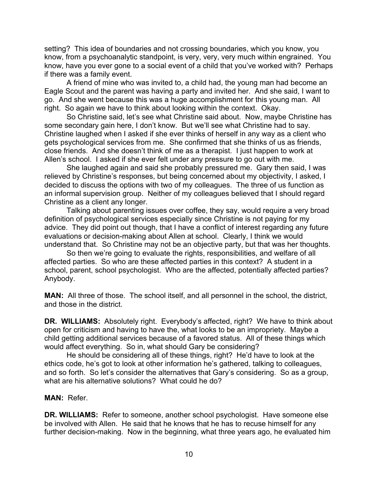setting? This idea of boundaries and not crossing boundaries, which you know, you know, from a psychoanalytic standpoint, is very, very, very much within engrained. You know, have you ever gone to a social event of a child that you've worked with? Perhaps if there was a family event.

A friend of mine who was invited to, a child had, the young man had become an Eagle Scout and the parent was having a party and invited her. And she said, I want to go. And she went because this was a huge accomplishment for this young man. All right. So again we have to think about looking within the context. Okay.

So Christine said, let's see what Christine said about. Now, maybe Christine has some secondary gain here, I don't know. But we'll see what Christine had to say. Christine laughed when I asked if she ever thinks of herself in any way as a client who gets psychological services from me. She confirmed that she thinks of us as friends, close friends. And she doesn't think of me as a therapist. I just happen to work at Allen's school. I asked if she ever felt under any pressure to go out with me.

She laughed again and said she probably pressured me. Gary then said, I was relieved by Christine's responses, but being concerned about my objectivity, I asked, I decided to discuss the options with two of my colleagues. The three of us function as an informal supervision group. Neither of my colleagues believed that I should regard Christine as a client any longer.

Talking about parenting issues over coffee, they say, would require a very broad definition of psychological services especially since Christine is not paying for my advice. They did point out though, that I have a conflict of interest regarding any future evaluations or decision-making about Allen at school. Clearly, I think we would understand that. So Christine may not be an objective party, but that was her thoughts.

So then we're going to evaluate the rights, responsibilities, and welfare of all affected parties. So who are these affected parties in this context? A student in a school, parent, school psychologist. Who are the affected, potentially affected parties? Anybody.

**MAN:** All three of those. The school itself, and all personnel in the school, the district, and those in the district.

**DR. WILLIAMS:** Absolutely right. Everybody's affected, right? We have to think about open for criticism and having to have the, what looks to be an impropriety. Maybe a child getting additional services because of a favored status. All of these things which would affect everything. So in, what should Gary be considering?

He should be considering all of these things, right? He'd have to look at the ethics code, he's got to look at other information he's gathered, talking to colleagues, and so forth. So let's consider the alternatives that Gary's considering. So as a group, what are his alternative solutions? What could he do?

#### **MAN:** Refer.

**DR. WILLIAMS:** Refer to someone, another school psychologist. Have someone else be involved with Allen. He said that he knows that he has to recuse himself for any further decision-making. Now in the beginning, what three years ago, he evaluated him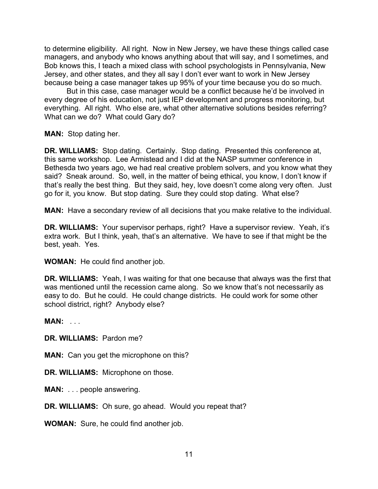to determine eligibility. All right. Now in New Jersey, we have these things called case managers, and anybody who knows anything about that will say, and I sometimes, and Bob knows this, I teach a mixed class with school psychologists in Pennsylvania, New Jersey, and other states, and they all say I don't ever want to work in New Jersey because being a case manager takes up 95% of your time because you do so much.

But in this case, case manager would be a conflict because he'd be involved in every degree of his education, not just IEP development and progress monitoring, but everything. All right. Who else are, what other alternative solutions besides referring? What can we do? What could Gary do?

**MAN:** Stop dating her.

**DR. WILLIAMS:** Stop dating. Certainly. Stop dating. Presented this conference at, this same workshop. Lee Armistead and I did at the NASP summer conference in Bethesda two years ago, we had real creative problem solvers, and you know what they said? Sneak around. So, well, in the matter of being ethical, you know, I don't know if that's really the best thing. But they said, hey, love doesn't come along very often. Just go for it, you know. But stop dating. Sure they could stop dating. What else?

**MAN:** Have a secondary review of all decisions that you make relative to the individual.

**DR. WILLIAMS:** Your supervisor perhaps, right? Have a supervisor review. Yeah, it's extra work. But I think, yeah, that's an alternative. We have to see if that might be the best, yeah. Yes.

**WOMAN:** He could find another job.

**DR. WILLIAMS:** Yeah, I was waiting for that one because that always was the first that was mentioned until the recession came along. So we know that's not necessarily as easy to do. But he could. He could change districts. He could work for some other school district, right? Anybody else?

**MAN:** . . .

**DR. WILLIAMS:** Pardon me?

**MAN:** Can you get the microphone on this?

**DR. WILLIAMS:** Microphone on those.

**MAN:** . . . people answering.

**DR. WILLIAMS:** Oh sure, go ahead. Would you repeat that?

**WOMAN:** Sure, he could find another job.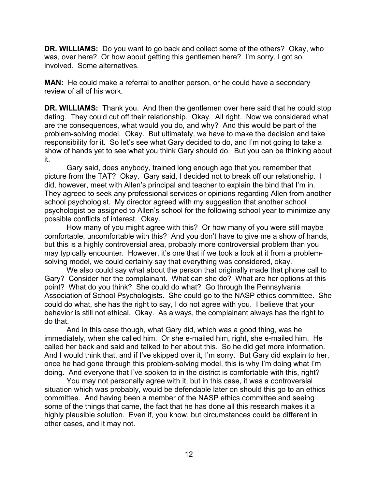**DR. WILLIAMS:** Do you want to go back and collect some of the others? Okay, who was, over here? Or how about getting this gentlemen here? I'm sorry, I got so involved. Some alternatives.

**MAN:** He could make a referral to another person, or he could have a secondary review of all of his work.

**DR. WILLIAMS:** Thank you. And then the gentlemen over here said that he could stop dating. They could cut off their relationship. Okay. All right. Now we considered what are the consequences, what would you do, and why? And this would be part of the problem-solving model. Okay. But ultimately, we have to make the decision and take responsibility for it. So let's see what Gary decided to do, and I'm not going to take a show of hands yet to see what you think Gary should do. But you can be thinking about it.

Gary said, does anybody, trained long enough ago that you remember that picture from the TAT? Okay. Gary said, I decided not to break off our relationship. I did, however, meet with Allen's principal and teacher to explain the bind that I'm in. They agreed to seek any professional services or opinions regarding Allen from another school psychologist. My director agreed with my suggestion that another school psychologist be assigned to Allen's school for the following school year to minimize any possible conflicts of interest. Okay.

How many of you might agree with this? Or how many of you were still maybe comfortable, uncomfortable with this? And you don't have to give me a show of hands, but this is a highly controversial area, probably more controversial problem than you may typically encounter. However, it's one that if we took a look at it from a problemsolving model, we could certainly say that everything was considered, okay.

We also could say what about the person that originally made that phone call to Gary? Consider her the complainant. What can she do? What are her options at this point? What do you think? She could do what? Go through the Pennsylvania Association of School Psychologists. She could go to the NASP ethics committee. She could do what, she has the right to say, I do not agree with you. I believe that your behavior is still not ethical. Okay. As always, the complainant always has the right to do that.

And in this case though, what Gary did, which was a good thing, was he immediately, when she called him. Or she e-mailed him, right, she e-mailed him. He called her back and said and talked to her about this. So he did get more information. And I would think that, and if I've skipped over it, I'm sorry. But Gary did explain to her, once he had gone through this problem-solving model, this is why I'm doing what I'm doing. And everyone that I've spoken to in the district is comfortable with this, right?

You may not personally agree with it, but in this case, it was a controversial situation which was probably, would be defendable later on should this go to an ethics committee. And having been a member of the NASP ethics committee and seeing some of the things that came, the fact that he has done all this research makes it a highly plausible solution. Even if, you know, but circumstances could be different in other cases, and it may not.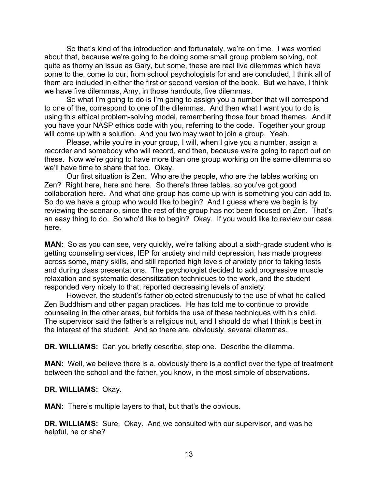So that's kind of the introduction and fortunately, we're on time. I was worried about that, because we're going to be doing some small group problem solving, not quite as thorny an issue as Gary, but some, these are real live dilemmas which have come to the, come to our, from school psychologists for and are concluded, I think all of them are included in either the first or second version of the book. But we have, I think we have five dilemmas, Amy, in those handouts, five dilemmas.

So what I'm going to do is I'm going to assign you a number that will correspond to one of the, correspond to one of the dilemmas. And then what I want you to do is, using this ethical problem-solving model, remembering those four broad themes. And if you have your NASP ethics code with you, referring to the code. Together your group will come up with a solution. And you two may want to join a group. Yeah.

Please, while you're in your group, I will, when I give you a number, assign a recorder and somebody who will record, and then, because we're going to report out on these. Now we're going to have more than one group working on the same dilemma so we'll have time to share that too. Okay.

Our first situation is Zen. Who are the people, who are the tables working on Zen? Right here, here and here. So there's three tables, so you've got good collaboration here. And what one group has come up with is something you can add to. So do we have a group who would like to begin? And I guess where we begin is by reviewing the scenario, since the rest of the group has not been focused on Zen. That's an easy thing to do. So who'd like to begin? Okay. If you would like to review our case here.

**MAN:** So as you can see, very quickly, we're talking about a sixth-grade student who is getting counseling services, IEP for anxiety and mild depression, has made progress across some, many skills, and still reported high levels of anxiety prior to taking tests and during class presentations. The psychologist decided to add progressive muscle relaxation and systematic desensitization techniques to the work, and the student responded very nicely to that, reported decreasing levels of anxiety.

However, the student's father objected strenuously to the use of what he called Zen Buddhism and other pagan practices. He has told me to continue to provide counseling in the other areas, but forbids the use of these techniques with his child. The supervisor said the father's a religious nut, and I should do what I think is best in the interest of the student. And so there are, obviously, several dilemmas.

**DR. WILLIAMS:** Can you briefly describe, step one. Describe the dilemma.

**MAN:** Well, we believe there is a, obviously there is a conflict over the type of treatment between the school and the father, you know, in the most simple of observations.

**DR. WILLIAMS:** Okay.

**MAN:** There's multiple layers to that, but that's the obvious.

**DR. WILLIAMS:** Sure. Okay. And we consulted with our supervisor, and was he helpful, he or she?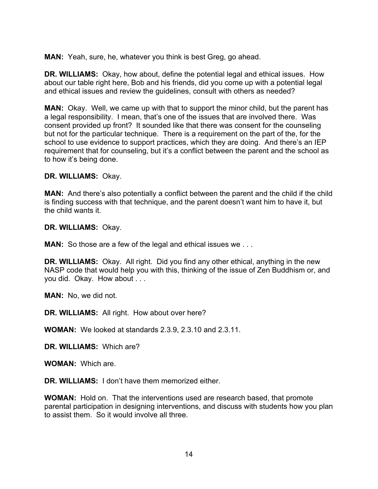**MAN:** Yeah, sure, he, whatever you think is best Greg, go ahead.

**DR. WILLIAMS:** Okay, how about, define the potential legal and ethical issues. How about our table right here, Bob and his friends, did you come up with a potential legal and ethical issues and review the guidelines, consult with others as needed?

**MAN:** Okay. Well, we came up with that to support the minor child, but the parent has a legal responsibility. I mean, that's one of the issues that are involved there. Was consent provided up front? It sounded like that there was consent for the counseling but not for the particular technique. There is a requirement on the part of the, for the school to use evidence to support practices, which they are doing. And there's an IEP requirement that for counseling, but it's a conflict between the parent and the school as to how it's being done.

**DR. WILLIAMS:** Okay.

**MAN:** And there's also potentially a conflict between the parent and the child if the child is finding success with that technique, and the parent doesn't want him to have it, but the child wants it.

**DR. WILLIAMS:** Okay.

**MAN:** So those are a few of the legal and ethical issues we ...

**DR. WILLIAMS:** Okay. All right. Did you find any other ethical, anything in the new NASP code that would help you with this, thinking of the issue of Zen Buddhism or, and you did. Okay. How about . . .

**MAN:** No, we did not.

**DR. WILLIAMS:** All right. How about over here?

**WOMAN:** We looked at standards 2.3.9, 2.3.10 and 2.3.11.

**DR. WILLIAMS:** Which are?

**WOMAN:** Which are.

**DR. WILLIAMS:** I don't have them memorized either.

**WOMAN:** Hold on. That the interventions used are research based, that promote parental participation in designing interventions, and discuss with students how you plan to assist them. So it would involve all three.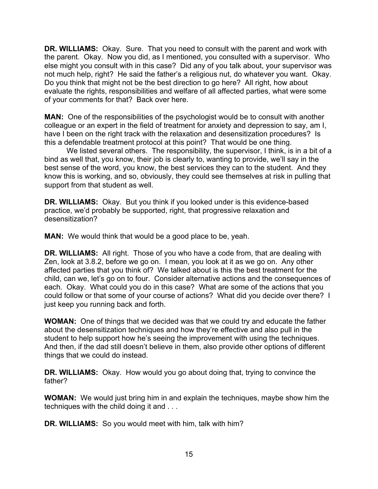**DR. WILLIAMS:** Okay. Sure. That you need to consult with the parent and work with the parent. Okay. Now you did, as I mentioned, you consulted with a supervisor. Who else might you consult with in this case? Did any of you talk about, your supervisor was not much help, right? He said the father's a religious nut, do whatever you want. Okay. Do you think that might not be the best direction to go here? All right, how about evaluate the rights, responsibilities and welfare of all affected parties, what were some of your comments for that? Back over here.

**MAN:** One of the responsibilities of the psychologist would be to consult with another colleague or an expert in the field of treatment for anxiety and depression to say, am I, have I been on the right track with the relaxation and desensitization procedures? Is this a defendable treatment protocol at this point? That would be one thing.

We listed several others. The responsibility, the supervisor, I think, is in a bit of a bind as well that, you know, their job is clearly to, wanting to provide, we'll say in the best sense of the word, you know, the best services they can to the student. And they know this is working, and so, obviously, they could see themselves at risk in pulling that support from that student as well.

**DR. WILLIAMS:** Okay. But you think if you looked under is this evidence-based practice, we'd probably be supported, right, that progressive relaxation and desensitization?

**MAN:** We would think that would be a good place to be, yeah.

**DR. WILLIAMS:** All right. Those of you who have a code from, that are dealing with Zen, look at 3.8.2, before we go on. I mean, you look at it as we go on. Any other affected parties that you think of? We talked about is this the best treatment for the child, can we, let's go on to four. Consider alternative actions and the consequences of each. Okay. What could you do in this case? What are some of the actions that you could follow or that some of your course of actions? What did you decide over there? I just keep you running back and forth.

**WOMAN:** One of things that we decided was that we could try and educate the father about the desensitization techniques and how they're effective and also pull in the student to help support how he's seeing the improvement with using the techniques. And then, if the dad still doesn't believe in them, also provide other options of different things that we could do instead.

**DR. WILLIAMS:** Okay. How would you go about doing that, trying to convince the father?

**WOMAN:** We would just bring him in and explain the techniques, maybe show him the techniques with the child doing it and . . .

**DR. WILLIAMS:** So you would meet with him, talk with him?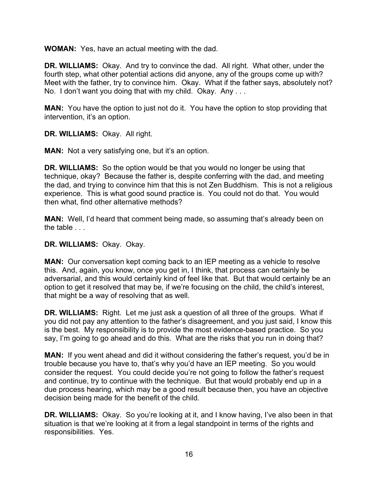**WOMAN:** Yes, have an actual meeting with the dad.

**DR. WILLIAMS:** Okay. And try to convince the dad. All right. What other, under the fourth step, what other potential actions did anyone, any of the groups come up with? Meet with the father, try to convince him. Okay. What if the father says, absolutely not? No. I don't want you doing that with my child. Okay. Any . . .

**MAN:** You have the option to just not do it. You have the option to stop providing that intervention, it's an option.

**DR. WILLIAMS:** Okay. All right.

**MAN:** Not a very satisfying one, but it's an option.

**DR. WILLIAMS:** So the option would be that you would no longer be using that technique, okay? Because the father is, despite conferring with the dad, and meeting the dad, and trying to convince him that this is not Zen Buddhism. This is not a religious experience. This is what good sound practice is. You could not do that. You would then what, find other alternative methods?

**MAN:** Well, I'd heard that comment being made, so assuming that's already been on the table . . .

**DR. WILLIAMS:** Okay. Okay.

**MAN:** Our conversation kept coming back to an IEP meeting as a vehicle to resolve this. And, again, you know, once you get in, I think, that process can certainly be adversarial, and this would certainly kind of feel like that. But that would certainly be an option to get it resolved that may be, if we're focusing on the child, the child's interest, that might be a way of resolving that as well.

**DR. WILLIAMS:** Right. Let me just ask a question of all three of the groups. What if you did not pay any attention to the father's disagreement, and you just said, I know this is the best. My responsibility is to provide the most evidence-based practice. So you say, I'm going to go ahead and do this. What are the risks that you run in doing that?

**MAN:** If you went ahead and did it without considering the father's request, you'd be in trouble because you have to, that's why you'd have an IEP meeting. So you would consider the request. You could decide you're not going to follow the father's request and continue, try to continue with the technique. But that would probably end up in a due process hearing, which may be a good result because then, you have an objective decision being made for the benefit of the child.

**DR. WILLIAMS:** Okay. So you're looking at it, and I know having, I've also been in that situation is that we're looking at it from a legal standpoint in terms of the rights and responsibilities. Yes.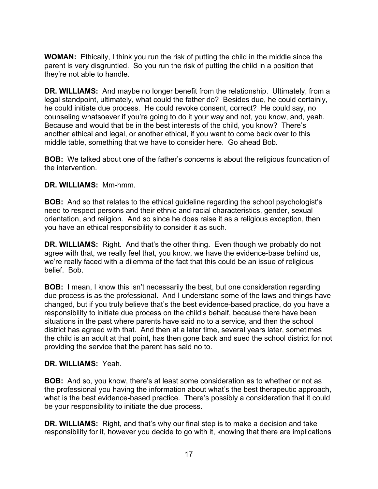**WOMAN:** Ethically, I think you run the risk of putting the child in the middle since the parent is very disgruntled. So you run the risk of putting the child in a position that they're not able to handle.

**DR. WILLIAMS:** And maybe no longer benefit from the relationship. Ultimately, from a legal standpoint, ultimately, what could the father do? Besides due, he could certainly, he could initiate due process. He could revoke consent, correct? He could say, no counseling whatsoever if you're going to do it your way and not, you know, and, yeah. Because and would that be in the best interests of the child, you know? There's another ethical and legal, or another ethical, if you want to come back over to this middle table, something that we have to consider here. Go ahead Bob.

**BOB:** We talked about one of the father's concerns is about the religious foundation of the intervention.

# **DR. WILLIAMS:** Mm-hmm.

**BOB:** And so that relates to the ethical guideline regarding the school psychologist's need to respect persons and their ethnic and racial characteristics, gender, sexual orientation, and religion. And so since he does raise it as a religious exception, then you have an ethical responsibility to consider it as such.

**DR. WILLIAMS:** Right. And that's the other thing. Even though we probably do not agree with that, we really feel that, you know, we have the evidence-base behind us, we're really faced with a dilemma of the fact that this could be an issue of religious belief. Bob.

**BOB:** I mean, I know this isn't necessarily the best, but one consideration regarding due process is as the professional. And I understand some of the laws and things have changed, but if you truly believe that's the best evidence-based practice, do you have a responsibility to initiate due process on the child's behalf, because there have been situations in the past where parents have said no to a service, and then the school district has agreed with that. And then at a later time, several years later, sometimes the child is an adult at that point, has then gone back and sued the school district for not providing the service that the parent has said no to.

## **DR. WILLIAMS:** Yeah.

**BOB:** And so, you know, there's at least some consideration as to whether or not as the professional you having the information about what's the best therapeutic approach, what is the best evidence-based practice. There's possibly a consideration that it could be your responsibility to initiate the due process.

**DR. WILLIAMS:** Right, and that's why our final step is to make a decision and take responsibility for it, however you decide to go with it, knowing that there are implications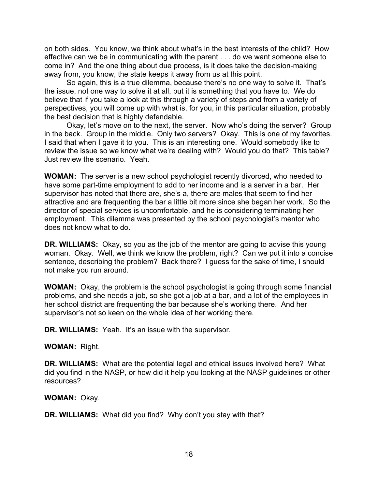on both sides. You know, we think about what's in the best interests of the child? How effective can we be in communicating with the parent . . . do we want someone else to come in? And the one thing about due process, is it does take the decision-making away from, you know, the state keeps it away from us at this point.

So again, this is a true dilemma, because there's no one way to solve it. That's the issue, not one way to solve it at all, but it is something that you have to. We do believe that if you take a look at this through a variety of steps and from a variety of perspectives, you will come up with what is, for you, in this particular situation, probably the best decision that is highly defendable.

Okay, let's move on to the next, the server. Now who's doing the server? Group in the back. Group in the middle. Only two servers? Okay. This is one of my favorites. I said that when I gave it to you. This is an interesting one. Would somebody like to review the issue so we know what we're dealing with? Would you do that? This table? Just review the scenario. Yeah.

**WOMAN:** The server is a new school psychologist recently divorced, who needed to have some part-time employment to add to her income and is a server in a bar. Her supervisor has noted that there are, she's a, there are males that seem to find her attractive and are frequenting the bar a little bit more since she began her work. So the director of special services is uncomfortable, and he is considering terminating her employment. This dilemma was presented by the school psychologist's mentor who does not know what to do.

**DR. WILLIAMS:** Okay, so you as the job of the mentor are going to advise this young woman. Okay. Well, we think we know the problem, right? Can we put it into a concise sentence, describing the problem? Back there? I guess for the sake of time, I should not make you run around.

**WOMAN:** Okay, the problem is the school psychologist is going through some financial problems, and she needs a job, so she got a job at a bar, and a lot of the employees in her school district are frequenting the bar because she's working there. And her supervisor's not so keen on the whole idea of her working there.

**DR. WILLIAMS:** Yeah. It's an issue with the supervisor.

## **WOMAN:** Right.

**DR. WILLIAMS:** What are the potential legal and ethical issues involved here? What did you find in the NASP, or how did it help you looking at the NASP guidelines or other resources?

**WOMAN:** Okay.

**DR. WILLIAMS:** What did you find? Why don't you stay with that?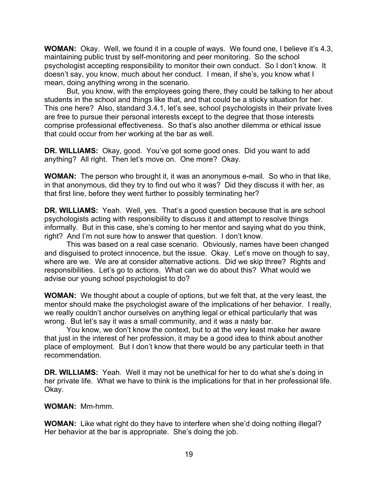**WOMAN:** Okay. Well, we found it in a couple of ways. We found one, I believe it's 4.3, maintaining public trust by self-monitoring and peer monitoring. So the school psychologist accepting responsibility to monitor their own conduct. So I don't know. It doesn't say, you know, much about her conduct. I mean, if she's, you know what I mean, doing anything wrong in the scenario.

But, you know, with the employees going there, they could be talking to her about students in the school and things like that, and that could be a sticky situation for her. This one here? Also, standard 3.4.1, let's see, school psychologists in their private lives are free to pursue their personal interests except to the degree that those interests comprise professional effectiveness. So that's also another dilemma or ethical issue that could occur from her working at the bar as well.

**DR. WILLIAMS:** Okay, good. You've got some good ones. Did you want to add anything? All right. Then let's move on. One more? Okay.

**WOMAN:** The person who brought it, it was an anonymous e-mail. So who in that like, in that anonymous, did they try to find out who it was? Did they discuss it with her, as that first line, before they went further to possibly terminating her?

**DR. WILLIAMS:** Yeah. Well, yes. That's a good question because that is are school psychologists acting with responsibility to discuss it and attempt to resolve things informally. But in this case, she's coming to her mentor and saying what do you think, right? And I'm not sure how to answer that question. I don't know.

This was based on a real case scenario. Obviously, names have been changed and disguised to protect innocence, but the issue. Okay. Let's move on though to say, where are we. We are at consider alternative actions. Did we skip three? Rights and responsibilities. Let's go to actions. What can we do about this? What would we advise our young school psychologist to do?

**WOMAN:** We thought about a couple of options, but we felt that, at the very least, the mentor should make the psychologist aware of the implications of her behavior. I really, we really couldn't anchor ourselves on anything legal or ethical particularly that was wrong. But let's say it was a small community, and it was a nasty bar.

You know, we don't know the context, but to at the very least make her aware that just in the interest of her profession, it may be a good idea to think about another place of employment. But I don't know that there would be any particular teeth in that recommendation.

**DR. WILLIAMS:** Yeah. Well it may not be unethical for her to do what she's doing in her private life. What we have to think is the implications for that in her professional life. Okay.

**WOMAN:** Mm-hmm.

**WOMAN:** Like what right do they have to interfere when she'd doing nothing illegal? Her behavior at the bar is appropriate. She's doing the job.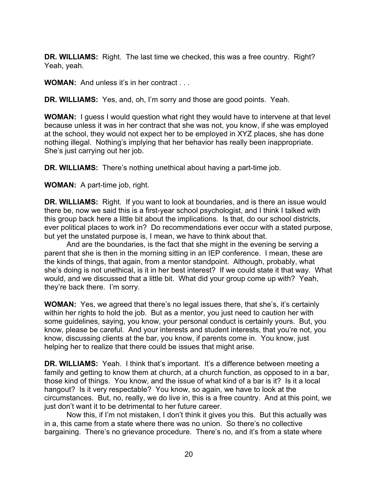**DR. WILLIAMS:** Right. The last time we checked, this was a free country. Right? Yeah, yeah.

**WOMAN:** And unless it's in her contract ...

**DR. WILLIAMS:** Yes, and, oh, I'm sorry and those are good points. Yeah.

**WOMAN:** I guess I would question what right they would have to intervene at that level because unless it was in her contract that she was not, you know, if she was employed at the school, they would not expect her to be employed in XYZ places, she has done nothing illegal. Nothing's implying that her behavior has really been inappropriate. She's just carrying out her job.

**DR. WILLIAMS:** There's nothing unethical about having a part-time job.

**WOMAN:** A part-time job, right.

**DR. WILLIAMS:** Right. If you want to look at boundaries, and is there an issue would there be, now we said this is a first-year school psychologist, and I think I talked with this group back here a little bit about the implications. Is that, do our school districts, ever political places to work in? Do recommendations ever occur with a stated purpose, but yet the unstated purpose is, I mean, we have to think about that.

And are the boundaries, is the fact that she might in the evening be serving a parent that she is then in the morning sitting in an IEP conference. I mean, these are the kinds of things, that again, from a mentor standpoint. Although, probably, what she's doing is not unethical, is it in her best interest? If we could state it that way. What would, and we discussed that a little bit. What did your group come up with? Yeah, they're back there. I'm sorry.

**WOMAN:** Yes, we agreed that there's no legal issues there, that she's, it's certainly within her rights to hold the job. But as a mentor, you just need to caution her with some guidelines, saying, you know, your personal conduct is certainly yours. But, you know, please be careful. And your interests and student interests, that you're not, you know, discussing clients at the bar, you know, if parents come in. You know, just helping her to realize that there could be issues that might arise.

**DR. WILLIAMS:** Yeah. I think that's important. It's a difference between meeting a family and getting to know them at church, at a church function, as opposed to in a bar, those kind of things. You know, and the issue of what kind of a bar is it? Is it a local hangout? Is it very respectable? You know, so again, we have to look at the circumstances. But, no, really, we do live in, this is a free country. And at this point, we just don't want it to be detrimental to her future career.

Now this, if I'm not mistaken, I don't think it gives you this. But this actually was in a, this came from a state where there was no union. So there's no collective bargaining. There's no grievance procedure. There's no, and it's from a state where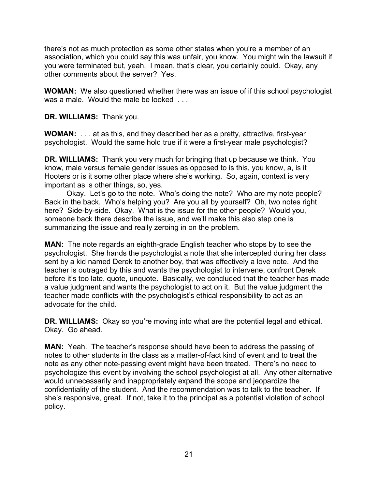there's not as much protection as some other states when you're a member of an association, which you could say this was unfair, you know. You might win the lawsuit if you were terminated but, yeah. I mean, that's clear, you certainly could. Okay, any other comments about the server? Yes.

**WOMAN:** We also questioned whether there was an issue of if this school psychologist was a male. Would the male be looked ...

**DR. WILLIAMS:** Thank you.

**WOMAN:** . . . at as this, and they described her as a pretty, attractive, first-year psychologist. Would the same hold true if it were a first-year male psychologist?

**DR. WILLIAMS:** Thank you very much for bringing that up because we think. You know, male versus female gender issues as opposed to is this, you know, a, is it Hooters or is it some other place where she's working. So, again, context is very important as is other things, so, yes.

Okay. Let's go to the note. Who's doing the note? Who are my note people? Back in the back. Who's helping you? Are you all by yourself? Oh, two notes right here? Side-by-side. Okay. What is the issue for the other people? Would you, someone back there describe the issue, and we'll make this also step one is summarizing the issue and really zeroing in on the problem.

**MAN:** The note regards an eighth-grade English teacher who stops by to see the psychologist. She hands the psychologist a note that she intercepted during her class sent by a kid named Derek to another boy, that was effectively a love note. And the teacher is outraged by this and wants the psychologist to intervene, confront Derek before it's too late, quote, unquote. Basically, we concluded that the teacher has made a value judgment and wants the psychologist to act on it. But the value judgment the teacher made conflicts with the psychologist's ethical responsibility to act as an advocate for the child.

**DR. WILLIAMS:** Okay so you're moving into what are the potential legal and ethical. Okay. Go ahead.

**MAN:** Yeah. The teacher's response should have been to address the passing of notes to other students in the class as a matter-of-fact kind of event and to treat the note as any other note-passing event might have been treated. There's no need to psychologize this event by involving the school psychologist at all. Any other alternative would unnecessarily and inappropriately expand the scope and jeopardize the confidentiality of the student. And the recommendation was to talk to the teacher. If she's responsive, great. If not, take it to the principal as a potential violation of school policy.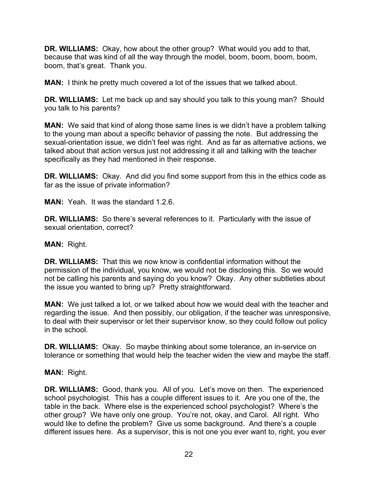**DR. WILLIAMS:** Okay, how about the other group? What would you add to that, because that was kind of all the way through the model, boom, boom, boom, boom, boom, that's great. Thank you.

**MAN:** I think he pretty much covered a lot of the issues that we talked about.

**DR. WILLIAMS:** Let me back up and say should you talk to this young man? Should you talk to his parents?

**MAN:** We said that kind of along those same lines is we didn't have a problem talking to the young man about a specific behavior of passing the note. But addressing the sexual-orientation issue, we didn't feel was right. And as far as alternative actions, we talked about that action versus just not addressing it all and talking with the teacher specifically as they had mentioned in their response.

**DR. WILLIAMS:** Okay. And did you find some support from this in the ethics code as far as the issue of private information?

**MAN:** Yeah. It was the standard 1.2.6.

**DR. WILLIAMS:** So there's several references to it. Particularly with the issue of sexual orientation, correct?

# **MAN:** Right.

**DR. WILLIAMS:** That this we now know is confidential information without the permission of the individual, you know, we would not be disclosing this. So we would not be calling his parents and saying do you know? Okay. Any other subtleties about the issue you wanted to bring up? Pretty straightforward.

**MAN:** We just talked a lot, or we talked about how we would deal with the teacher and regarding the issue. And then possibly, our obligation, if the teacher was unresponsive, to deal with their supervisor or let their supervisor know, so they could follow out policy in the school.

**DR. WILLIAMS:** Okay. So maybe thinking about some tolerance, an in-service on tolerance or something that would help the teacher widen the view and maybe the staff.

## **MAN:** Right.

**DR. WILLIAMS:** Good, thank you. All of you. Let's move on then. The experienced school psychologist. This has a couple different issues to it. Are you one of the, the table in the back. Where else is the experienced school psychologist? Where's the other group? We have only one group. You're not, okay, and Carol. All right. Who would like to define the problem? Give us some background. And there's a couple different issues here. As a supervisor, this is not one you ever want to, right, you ever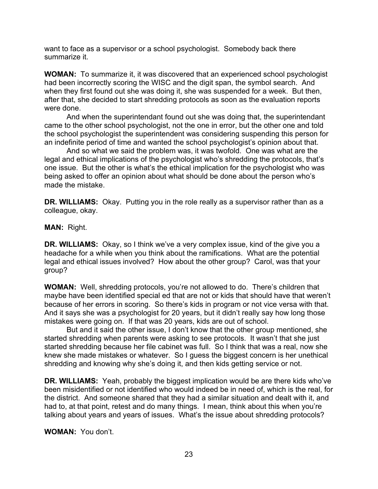want to face as a supervisor or a school psychologist. Somebody back there summarize it.

**WOMAN:** To summarize it, it was discovered that an experienced school psychologist had been incorrectly scoring the WISC and the digit span, the symbol search. And when they first found out she was doing it, she was suspended for a week. But then, after that, she decided to start shredding protocols as soon as the evaluation reports were done.

And when the superintendant found out she was doing that, the superintendant came to the other school psychologist, not the one in error, but the other one and told the school psychologist the superintendent was considering suspending this person for an indefinite period of time and wanted the school psychologist's opinion about that.

And so what we said the problem was, it was twofold. One was what are the legal and ethical implications of the psychologist who's shredding the protocols, that's one issue. But the other is what's the ethical implication for the psychologist who was being asked to offer an opinion about what should be done about the person who's made the mistake.

**DR. WILLIAMS:** Okay. Putting you in the role really as a supervisor rather than as a colleague, okay.

**MAN:** Right.

**DR. WILLIAMS:** Okay, so I think we've a very complex issue, kind of the give you a headache for a while when you think about the ramifications. What are the potential legal and ethical issues involved? How about the other group? Carol, was that your group?

**WOMAN:** Well, shredding protocols, you're not allowed to do. There's children that maybe have been identified special ed that are not or kids that should have that weren't because of her errors in scoring. So there's kids in program or not vice versa with that. And it says she was a psychologist for 20 years, but it didn't really say how long those mistakes were going on. If that was 20 years, kids are out of school.

But and it said the other issue, I don't know that the other group mentioned, she started shredding when parents were asking to see protocols. It wasn't that she just started shredding because her file cabinet was full. So I think that was a real, now she knew she made mistakes or whatever. So I guess the biggest concern is her unethical shredding and knowing why she's doing it, and then kids getting service or not.

**DR. WILLIAMS:** Yeah, probably the biggest implication would be are there kids who've been misidentified or not identified who would indeed be in need of, which is the real, for the district. And someone shared that they had a similar situation and dealt with it, and had to, at that point, retest and do many things. I mean, think about this when you're talking about years and years of issues. What's the issue about shredding protocols?

**WOMAN:** You don't.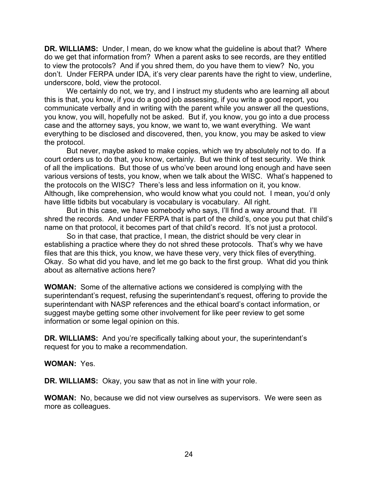**DR. WILLIAMS:** Under, I mean, do we know what the guideline is about that? Where do we get that information from? When a parent asks to see records, are they entitled to view the protocols? And if you shred them, do you have them to view? No, you don't. Under FERPA under IDA, it's very clear parents have the right to view, underline, underscore, bold, view the protocol.

We certainly do not, we try, and I instruct my students who are learning all about this is that, you know, if you do a good job assessing, if you write a good report, you communicate verbally and in writing with the parent while you answer all the questions, you know, you will, hopefully not be asked. But if, you know, you go into a due process case and the attorney says, you know, we want to, we want everything. We want everything to be disclosed and discovered, then, you know, you may be asked to view the protocol.

But never, maybe asked to make copies, which we try absolutely not to do. If a court orders us to do that, you know, certainly. But we think of test security. We think of all the implications. But those of us who've been around long enough and have seen various versions of tests, you know, when we talk about the WISC. What's happened to the protocols on the WISC? There's less and less information on it, you know. Although, like comprehension, who would know what you could not. I mean, you'd only have little tidbits but vocabulary is vocabulary is vocabulary. All right.

But in this case, we have somebody who says, I'll find a way around that. I'll shred the records. And under FERPA that is part of the child's, once you put that child's name on that protocol, it becomes part of that child's record. It's not just a protocol.

So in that case, that practice, I mean, the district should be very clear in establishing a practice where they do not shred these protocols. That's why we have files that are this thick, you know, we have these very, very thick files of everything. Okay. So what did you have, and let me go back to the first group. What did you think about as alternative actions here?

**WOMAN:** Some of the alternative actions we considered is complying with the superintendant's request, refusing the superintendant's request, offering to provide the superintendant with NASP references and the ethical board's contact information, or suggest maybe getting some other involvement for like peer review to get some information or some legal opinion on this.

**DR. WILLIAMS:** And you're specifically talking about your, the superintendant's request for you to make a recommendation.

#### **WOMAN:** Yes.

**DR. WILLIAMS:** Okay, you saw that as not in line with your role.

**WOMAN:** No, because we did not view ourselves as supervisors. We were seen as more as colleagues.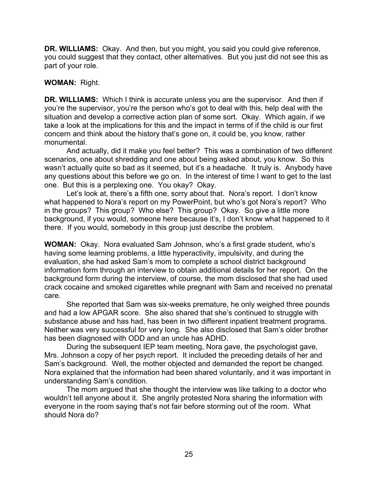**DR. WILLIAMS:** Okay. And then, but you might, you said you could give reference, you could suggest that they contact, other alternatives. But you just did not see this as part of your role.

## **WOMAN:** Right.

**DR. WILLIAMS:** Which I think is accurate unless you are the supervisor. And then if you're the supervisor, you're the person who's got to deal with this, help deal with the situation and develop a corrective action plan of some sort. Okay. Which again, if we take a look at the implications for this and the impact in terms of if the child is our first concern and think about the history that's gone on, it could be, you know, rather monumental.

And actually, did it make you feel better? This was a combination of two different scenarios, one about shredding and one about being asked about, you know. So this wasn't actually quite so bad as it seemed, but it's a headache. It truly is. Anybody have any questions about this before we go on. In the interest of time I want to get to the last one. But this is a perplexing one. You okay? Okay.

Let's look at, there's a fifth one, sorry about that. Nora's report. I don't know what happened to Nora's report on my PowerPoint, but who's got Nora's report? Who in the groups? This group? Who else? This group? Okay. So give a little more background, if you would, someone here because it's, I don't know what happened to it there. If you would, somebody in this group just describe the problem.

**WOMAN:** Okay. Nora evaluated Sam Johnson, who's a first grade student, who's having some learning problems, a little hyperactivity, impulsivity, and during the evaluation, she had asked Sam's mom to complete a school district background information form through an interview to obtain additional details for her report. On the background form during the interview, of course, the mom disclosed that she had used crack cocaine and smoked cigarettes while pregnant with Sam and received no prenatal care.

She reported that Sam was six-weeks premature, he only weighed three pounds and had a low APGAR score. She also shared that she's continued to struggle with substance abuse and has had, has been in two different inpatient treatment programs. Neither was very successful for very long. She also disclosed that Sam's older brother has been diagnosed with ODD and an uncle has ADHD.

During the subsequent IEP team meeting, Nora gave, the psychologist gave, Mrs. Johnson a copy of her psych report. It included the preceding details of her and Sam's background. Well, the mother objected and demanded the report be changed. Nora explained that the information had been shared voluntarily, and it was important in understanding Sam's condition.

The mom argued that she thought the interview was like talking to a doctor who wouldn't tell anyone about it. She angrily protested Nora sharing the information with everyone in the room saying that's not fair before storming out of the room. What should Nora do?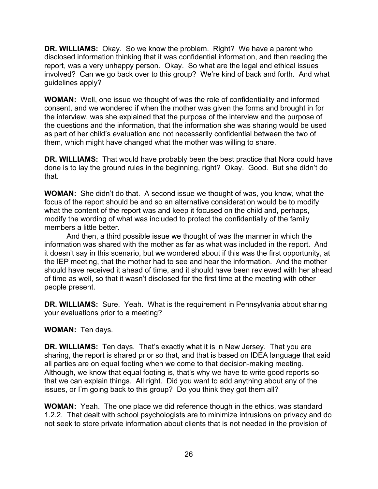**DR. WILLIAMS:** Okay. So we know the problem. Right? We have a parent who disclosed information thinking that it was confidential information, and then reading the report, was a very unhappy person. Okay. So what are the legal and ethical issues involved? Can we go back over to this group? We're kind of back and forth. And what guidelines apply?

**WOMAN:** Well, one issue we thought of was the role of confidentiality and informed consent, and we wondered if when the mother was given the forms and brought in for the interview, was she explained that the purpose of the interview and the purpose of the questions and the information, that the information she was sharing would be used as part of her child's evaluation and not necessarily confidential between the two of them, which might have changed what the mother was willing to share.

**DR. WILLIAMS:** That would have probably been the best practice that Nora could have done is to lay the ground rules in the beginning, right? Okay. Good. But she didn't do that.

**WOMAN:** She didn't do that. A second issue we thought of was, you know, what the focus of the report should be and so an alternative consideration would be to modify what the content of the report was and keep it focused on the child and, perhaps, modify the wording of what was included to protect the confidentially of the family members a little better.

And then, a third possible issue we thought of was the manner in which the information was shared with the mother as far as what was included in the report. And it doesn't say in this scenario, but we wondered about if this was the first opportunity, at the IEP meeting, that the mother had to see and hear the information. And the mother should have received it ahead of time, and it should have been reviewed with her ahead of time as well, so that it wasn't disclosed for the first time at the meeting with other people present.

**DR. WILLIAMS:** Sure. Yeah. What is the requirement in Pennsylvania about sharing your evaluations prior to a meeting?

## **WOMAN:** Ten days.

**DR. WILLIAMS:** Ten days. That's exactly what it is in New Jersey. That you are sharing, the report is shared prior so that, and that is based on IDEA language that said all parties are on equal footing when we come to that decision-making meeting. Although, we know that equal footing is, that's why we have to write good reports so that we can explain things. All right. Did you want to add anything about any of the issues, or I'm going back to this group? Do you think they got them all?

**WOMAN:** Yeah. The one place we did reference though in the ethics, was standard 1.2.2. That dealt with school psychologists are to minimize intrusions on privacy and do not seek to store private information about clients that is not needed in the provision of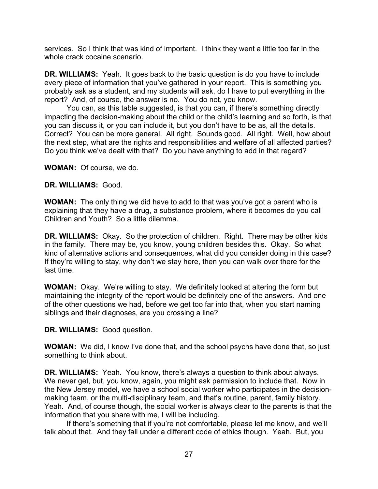services. So I think that was kind of important. I think they went a little too far in the whole crack cocaine scenario.

**DR. WILLIAMS:** Yeah. It goes back to the basic question is do you have to include every piece of information that you've gathered in your report. This is something you probably ask as a student, and my students will ask, do I have to put everything in the report? And, of course, the answer is no. You do not, you know.

You can, as this table suggested, is that you can, if there's something directly impacting the decision-making about the child or the child's learning and so forth, is that you can discuss it, or you can include it, but you don't have to be as, all the details. Correct? You can be more general. All right. Sounds good. All right. Well, how about the next step, what are the rights and responsibilities and welfare of all affected parties? Do you think we've dealt with that? Do you have anything to add in that regard?

**WOMAN:** Of course, we do.

### **DR. WILLIAMS:** Good.

**WOMAN:** The only thing we did have to add to that was you've got a parent who is explaining that they have a drug, a substance problem, where it becomes do you call Children and Youth? So a little dilemma.

**DR. WILLIAMS:** Okay. So the protection of children. Right. There may be other kids in the family. There may be, you know, young children besides this. Okay. So what kind of alternative actions and consequences, what did you consider doing in this case? If they're willing to stay, why don't we stay here, then you can walk over there for the last time.

**WOMAN:** Okay. We're willing to stay. We definitely looked at altering the form but maintaining the integrity of the report would be definitely one of the answers. And one of the other questions we had, before we get too far into that, when you start naming siblings and their diagnoses, are you crossing a line?

## **DR. WILLIAMS:** Good question.

**WOMAN:** We did, I know I've done that, and the school psychs have done that, so just something to think about.

**DR. WILLIAMS:** Yeah. You know, there's always a question to think about always. We never get, but, you know, again, you might ask permission to include that. Now in the New Jersey model, we have a school social worker who participates in the decisionmaking team, or the multi-disciplinary team, and that's routine, parent, family history. Yeah. And, of course though, the social worker is always clear to the parents is that the information that you share with me, I will be including.

If there's something that if you're not comfortable, please let me know, and we'll talk about that. And they fall under a different code of ethics though. Yeah. But, you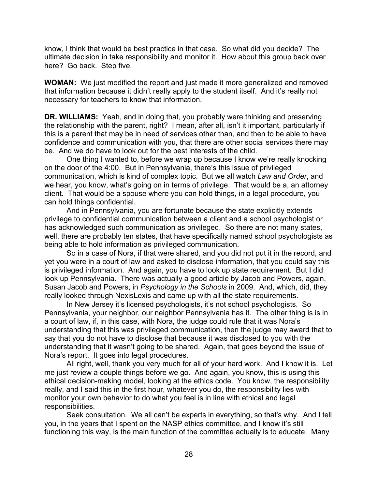know, I think that would be best practice in that case. So what did you decide? The ultimate decision in take responsibility and monitor it. How about this group back over here? Go back. Step five.

**WOMAN:** We just modified the report and just made it more generalized and removed that information because it didn't really apply to the student itself. And it's really not necessary for teachers to know that information.

**DR. WILLIAMS:** Yeah, and in doing that, you probably were thinking and preserving the relationship with the parent, right? I mean, after all, isn't it important, particularly if this is a parent that may be in need of services other than, and then to be able to have confidence and communication with you, that there are other social services there may be. And we do have to look out for the best interests of the child.

One thing I wanted to, before we wrap up because I know we're really knocking on the door of the 4:00. But in Pennsylvania, there's this issue of privileged communication, which is kind of complex topic. But we all watch *Law and Order*, and we hear, you know, what's going on in terms of privilege. That would be a, an attorney client. That would be a spouse where you can hold things, in a legal procedure, you can hold things confidential.

And in Pennsylvania, you are fortunate because the state explicitly extends privilege to confidential communication between a client and a school psychologist or has acknowledged such communication as privileged. So there are not many states, well, there are probably ten states, that have specifically named school psychologists as being able to hold information as privileged communication.

So in a case of Nora, if that were shared, and you did not put it in the record, and yet you were in a court of law and asked to disclose information, that you could say this is privileged information. And again, you have to look up state requirement. But I did look up Pennsylvania. There was actually a good article by Jacob and Powers, again, Susan Jacob and Powers, in *Psychology in the Schools* in 2009. And, which, did, they really looked through NexisLexis and came up with all the state requirements.

In New Jersey it's licensed psychologists, it's not school psychologists. So Pennsylvania, your neighbor, our neighbor Pennsylvania has it. The other thing is is in a court of law, if, in this case, with Nora, the judge could rule that it was Nora's understanding that this was privileged communication, then the judge may award that to say that you do not have to disclose that because it was disclosed to you with the understanding that it wasn't going to be shared. Again, that goes beyond the issue of Nora's report. It goes into legal procedures.

All right, well, thank you very much for all of your hard work. And I know it is. Let me just review a couple things before we go. And again, you know, this is using this ethical decision-making model, looking at the ethics code. You know, the responsibility really, and I said this in the first hour, whatever you do, the responsibility lies with monitor your own behavior to do what you feel is in line with ethical and legal responsibilities.

Seek consultation. We all can't be experts in everything, so that's why. And I tell you, in the years that I spent on the NASP ethics committee, and I know it's still functioning this way, is the main function of the committee actually is to educate. Many